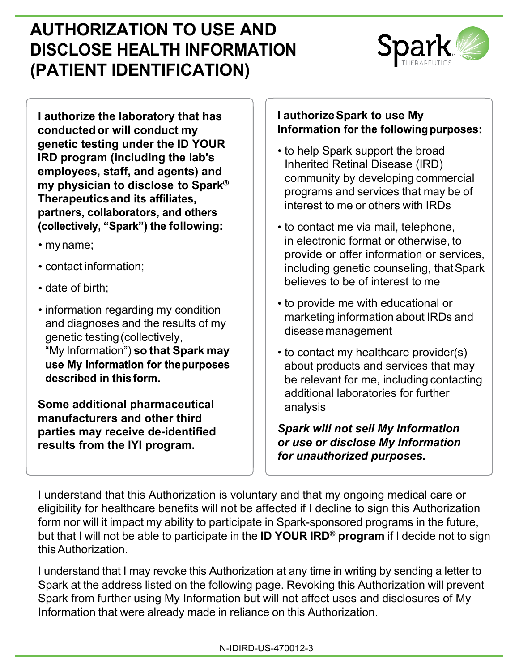# **AUTHORIZATION TO USE AND DISCLOSE HEALTH INFORMATION (PATIENT IDENTIFICATION)**



**I authorize the laboratory that has conducted or will conduct my genetic testing under the ID YOUR IRD program (including the lab's employees, staff, and agents) and my physician to disclose to Spark® Therapeutics and**  partners, collaborators, and others (collectively, "Spark") the following:

- myname;
- contact information;
- date of birth:
- information regarding my condition and diagnoses and the results of my genetic testing(collectively, "My Information") **so that Spark may**  use My Information for the purposes described in this form.

**Some additional pharmaceutical manufacturers and other third parties may receive de-identified results from the IYI program.** 

## **I authorize Spark to use My Information**

- to help Spark support the broad Inherited Retinal Disease (IRD) community by developing commercial programs and services that may be of interest to me or others with IRDs
- to contact me via mail, telephone, in electronic format or otherwise, to provide or offer information or services, including genetic counseling, thatSpark believes to be of interest to me
- to provide me with educational or marketing information about IRDs and diseasemanagement
- to contact my healthcare provider(s) about products and services that may be relevant for me, including contacting additional laboratories for further analysis

*Spark will not sell My Information or use or disclose My Information for unauthorized purposes.*

I understand that this Authorization is voluntary and that my ongoing medical care or eligibility for healthcare benefits will not be affected if I decline to sign this Authorization form nor will it impact my ability to participate in Spark-sponsored programs in the future, but that I will not be able to participate in the **ID YOUR IRD® program** if I decide not to sign thisAuthorization.

I understand that I may revoke this Authorization at any time in writing by sending a letter to Spark at the address listed on the following page. Revoking this Authorization will prevent Spark from further using My Information but will not affect uses and disclosures of My Information that were already made in reliance on this Authorization.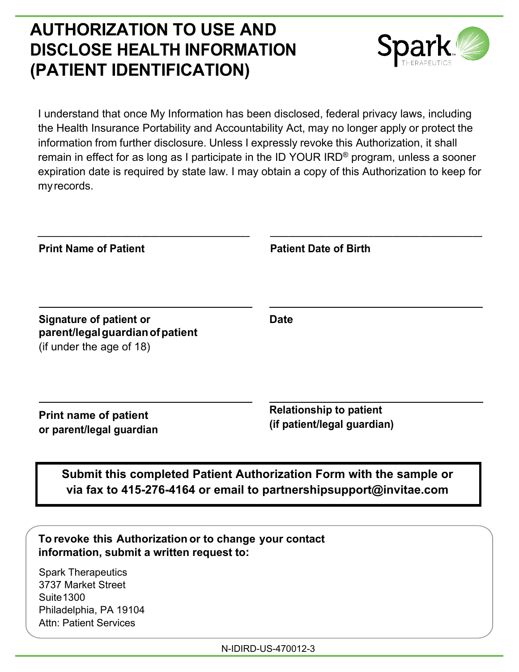## **AUTHORIZATION TO USE AND DISCLOSE HEALTH INFORMATION (PATIENT IDENTIFICATION)**



I understand that once My Information has been disclosed, federal privacy laws, including the Health Insurance Portability and Accountability Act, may no longer apply or protect the information from further disclosure. Unless I expressly revoke this Authorization, it shall remain in effect for as long as I participate in the ID YOUR IRD® program, unless a sooner expiration date is required by state law. I may obtain a copy of this Authorization to keep for my records.

| <b>Relationship to patient</b><br>(if patient/legal guardian)                                                                             |
|-------------------------------------------------------------------------------------------------------------------------------------------|
| Submit this completed Patient Authorization Form with the sample or<br>via fax to 415-276-4164 or email to partnershipsupport@invitae.com |
| To revoke this Authorization or to change your contact                                                                                    |

Spark Therapeutics 3737 Market Street **Suite 1300** Philadelphia, PA 19104 Attn: Patient Services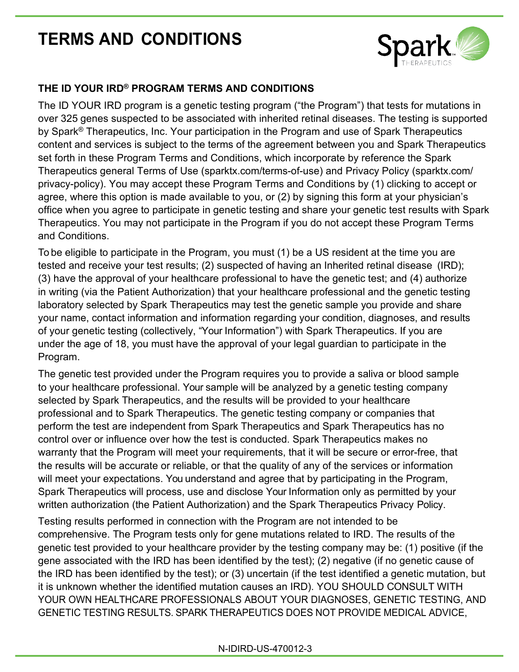# **TERMS AND CONDITIONS**



## **THE ID YOUR IRD® PROGRAM TERMS AND CONDITIONS**

The ID YOUR IRD program is a genetic testing program ("the Program") that tests for mutations in over 325 genes suspected to be associated with inherited retinal diseases. The testing is supported by Spark<sup>®</sup> Therapeutics, Inc. Your participation in the Program and use of Spark Therapeutics content and services is subject to the terms of the agreement between you and Spark Therapeutics set forth in these Program Terms and Conditions, which incorporate by reference the Spark Therapeutics general Terms of Use (sparktx.com/terms-of-use) and Privacy Policy (sparktx.com/ privacy-policy). You may accept these Program Terms and Conditions by (1) clicking to accept or agree, where this option is made available to you, or (2) by signing this form at your physician's office when you agree to participate in genetic testing and share your genetic test results with Spark Therapeutics. You may not participate in the Program if you do not accept these Program Terms and Conditions.

To be eligible to participate in the Program, you must (1) be a US resident at the time you are tested and receive your test results; (2) suspected of having an Inherited retinal disease (IRD); (3) have the approval of your healthcare professional to have the genetic test; and (4) authorize in writing (via the Patient Authorization) that your healthcare professional and the genetic testing laboratory selected by Spark Therapeutics may test the genetic sample you provide and share your name, contact information and information regarding your condition, diagnoses, and results of your genetic testing (collectively, "Your Information") with Spark Therapeutics. If you are under the age of 18, you must have the approval of your legal guardian to participate in the Program.

The genetic test provided under the Program requires you to provide a saliva or blood sample to your healthcare professional. Your sample will be analyzed by a genetic testing company selected by Spark Therapeutics, and the results will be provided to your healthcare professional and to Spark Therapeutics. The genetic testing company or companies that perform the test are independent from Spark Therapeutics and Spark Therapeutics has no control over or influence over how the test is conducted. Spark Therapeutics makes no warranty that the Program will meet your requirements, that it will be secure or error-free, that the results will be accurate or reliable, or that the quality of any of the services or information will meet your expectations. You understand and agree that by participating in the Program, Spark Therapeutics will process, use and disclose Your Information only as permitted by your written authorization (the Patient Authorization) and the Spark Therapeutics Privacy Policy.

Testing results performed in connection with the Program are not intended to be comprehensive. The Program tests only for gene mutations related to IRD. The results of the genetic test provided to your healthcare provider by the testing company may be: (1) positive (if the gene associated with the IRD has been identified by the test); (2) negative (if no genetic cause of the IRD has been identified by the test); or (3) uncertain (if the test identified a genetic mutation, but it is unknown whether the identified mutation causes an IRD). YOU SHOULD CONSULT WITH YOUR OWN HEALTHCARE PROFESSIONALS ABOUT YOUR DIAGNOSES, GENETIC TESTING, AND GENETIC TESTING RESULTS. SPARK THERAPEUTICS DOES NOT PROVIDE MEDICAL ADVICE,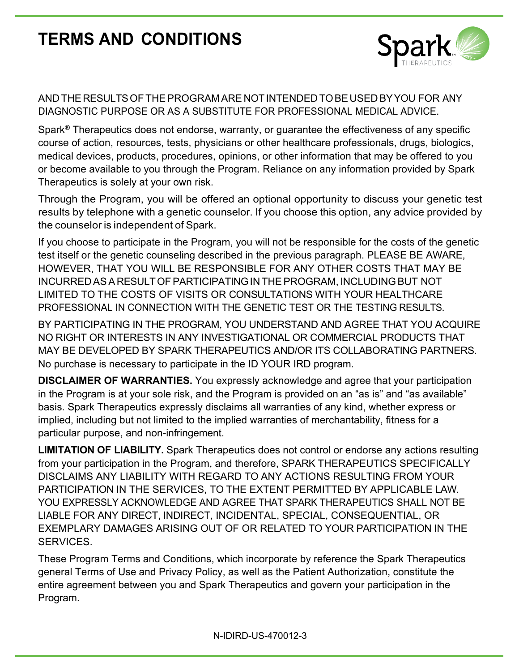# **TERMS AND CONDITIONS**



## AND THERESULTSOFTHEPROGRAM ARE NOTINTENDED TOBEUSED BYYOU FOR ANY DIAGNOSTIC PURPOSE OR AS A SUBSTITUTE FOR PROFESSIONAL MEDICAL ADVICE.

Spark<sup>®</sup> Therapeutics does not endorse, warranty, or guarantee the effectiveness of any specific course of action, resources, tests, physicians or other healthcare professionals, drugs, biologics, medical devices, products, procedures, opinions, or other information that may be offered to you or become available to you through the Program. Reliance on any information provided by Spark Therapeutics is solely at your own risk.

Through the Program, you will be offered an optional opportunity to discuss your genetic test results by telephone with a genetic counselor. If you choose this option, any advice provided by the counselor is independent of Spark.

If you choose to participate in the Program, you will not be responsible for the costs of the genetic test itself or the genetic counseling described in the previous paragraph. PLEASE BE AWARE, HOWEVER, THAT YOU WILL BE RESPONSIBLE FOR ANY OTHER COSTS THAT MAY BE INCURRED ASA RESULTOFPARTICIPATINGIN THEPROGRAM, INCLUDINGBUT NOT LIMITED TO THE COSTS OF VISITS OR CONSULTATIONS WITH YOUR HEALTHCARE PROFESSIONAL IN CONNECTION WITH THE GENETIC TEST OR THE TESTING RESULTS.

BY PARTICIPATING IN THE PROGRAM, YOU UNDERSTAND AND AGREE THAT YOU ACQUIRE NO RIGHT OR INTERESTS IN ANY INVESTIGATIONAL OR COMMERCIAL PRODUCTS THAT MAY BE DEVELOPED BY SPARK THERAPEUTICS AND/OR ITS COLLABORATING PARTNERS. No purchase is necessary to participate in the ID YOUR IRD program.

**DISCLAIMER OF WARRANTIES.** You expressly acknowledge and agree that your participation in the Program is at your sole risk, and the Program is provided on an "as is" and "as available" basis. Spark Therapeutics expressly disclaims all warranties of any kind, whether express or implied, including but not limited to the implied warranties of merchantability, fitness for a particular purpose, and non-infringement.

**LIMITATION OF LIABILITY.** Spark Therapeutics does not control or endorse any actions resulting from your participation in the Program, and therefore, SPARK THERAPEUTICS SPECIFICALLY DISCLAIMS ANY LIABILITY WITH REGARD TO ANY ACTIONS RESULTING FROM YOUR PARTICIPATION IN THE SERVICES, TO THE EXTENT PERMITTED BY APPLICABLE LAW. YOU EXPRESSLY ACKNOWLEDGE AND AGREE THAT SPARK THERAPEUTICS SHALL NOT BE LIABLE FOR ANY DIRECT, INDIRECT, INCIDENTAL, SPECIAL, CONSEQUENTIAL, OR EXEMPLARY DAMAGES ARISING OUT OF OR RELATED TO YOUR PARTICIPATION IN THE SERVICES.

These Program Terms and Conditions, which incorporate by reference the Spark Therapeutics general Terms of Use and Privacy Policy, as well as the Patient Authorization, constitute the entire agreement between you and Spark Therapeutics and govern your participation in the Program.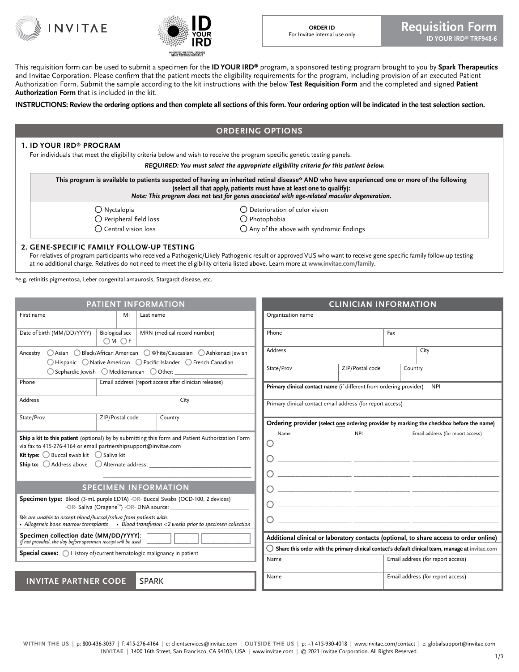



This requisition form can be used to submit a specimen for the **ID YOUR IRD®** program, a sponsored testing program brought to you by **Spark Therapeutics** and Invitae Corporation. Please confirm that the patient meets the eligibility requirements for the program, including provision of an executed Patient Authorization Form. Submit the sample according to the kit instructions with the below **Test Requisition Form** and the completed and signed **Patient Authorization Form** that is included in the kit.

**INSTRUCTIONS: Review the ordering options and then complete all sections of this form. Your ordering option will be indicated in the test selection section.**

### **ORDERING OPTIONS**

#### **1. ID YOUR IRD® PROGRAM**

For individuals that meet the eligibility criteria below and wish to receive the program specific genetic testing panels.

*REQUIRED: You must select the appropriate eligibility criteria for this patient below.*

| This program is available to patients suspected of having an inherited retinal disease* AND who have experienced one or more of the following<br>(select all that apply, patients must have at least one to qualify):<br>Note: This program does not test for genes associated with age-related macular degeneration.<br>$\bigcap$ Deterioration of color vision<br>∩ Nyctalopia<br>$\bigcap$ Peripheral field loss<br>$\bigcap$ Photophobia |  |
|----------------------------------------------------------------------------------------------------------------------------------------------------------------------------------------------------------------------------------------------------------------------------------------------------------------------------------------------------------------------------------------------------------------------------------------------|--|
|                                                                                                                                                                                                                                                                                                                                                                                                                                              |  |
| $\bigcirc$ Central vision loss<br>$\bigcirc$ Any of the above with syndromic findings                                                                                                                                                                                                                                                                                                                                                        |  |

#### **2. GENE-SPECIFIC FAMILY FOLLOW-UP TESTING**

For relatives of program participants who received a Pathogenic/Likely Pathogenic result or approved VUS who want to receive gene specific family follow-up testing at no additional charge. Relatives do not need to meet the eligibility criteria listed above. Learn more at **www.invitae.com/family**.

\*e.g. retinitis pigmentosa, Leber congenital amaurosis, Stargardt disease, etc.

|                                                                                                                                                                                                                | <b>PATIENT INFORMATION</b>    |                                                                                                                                            |                                                                     | <b>CLINICIAN INFORMATION</b> |                                                                                                              |
|----------------------------------------------------------------------------------------------------------------------------------------------------------------------------------------------------------------|-------------------------------|--------------------------------------------------------------------------------------------------------------------------------------------|---------------------------------------------------------------------|------------------------------|--------------------------------------------------------------------------------------------------------------|
| First name                                                                                                                                                                                                     | MI<br>Last name               |                                                                                                                                            | Organization name                                                   |                              |                                                                                                              |
| Date of birth (MM/DD/YYYY)                                                                                                                                                                                     | <b>Biological sex</b><br>OMOF | MRN (medical record number)                                                                                                                | Phone                                                               |                              | Fax                                                                                                          |
| Ancestry                                                                                                                                                                                                       |                               | ○ Asian ○ Black/African American ○ White/Caucasian ○ Ashkenazi Jewish<br>○ Hispanic ○ Native American ○ Pacific Islander ○ French Canadian | Address                                                             |                              | City                                                                                                         |
|                                                                                                                                                                                                                |                               |                                                                                                                                            | State/Prov                                                          | ZIP/Postal code              | Country                                                                                                      |
| Phone                                                                                                                                                                                                          |                               | Email address (report access after clinician releases)                                                                                     | Primary clinical contact name (if different from ordering provider) |                              | <b>NPI</b>                                                                                                   |
| <b>Address</b>                                                                                                                                                                                                 |                               | City                                                                                                                                       | Primary clinical contact email address (for report access)          |                              |                                                                                                              |
| State/Prov                                                                                                                                                                                                     | ZIP/Postal code               | Country                                                                                                                                    |                                                                     |                              | Ordering provider (select one ordering provider by marking the checkbox before the name)                     |
| via fax to 415-276-4164 or email partnershipsupport@invitae.com<br><b>Kit type:</b> $\bigcirc$ Buccal swab kit $\bigcirc$ Saliva kit<br><b>Ship to:</b> $\bigcirc$ Address above $\bigcirc$ Alternate address: |                               | Ship a kit to this patient (optional) by by submitting this form and Patient Authorization Form                                            | Name<br>O<br>O<br>0                                                 | <b>NPI</b>                   | Email address (for report access)<br><u> 2000 - Andrea Andrew Maria (h. 1976).</u>                           |
|                                                                                                                                                                                                                | <b>SPECIMEN INFORMATION</b>   |                                                                                                                                            |                                                                     |                              |                                                                                                              |
| Specimen type: Blood (3-mL purple EDTA) -OR- Buccal Swabs (OCD-100, 2 devices)                                                                                                                                 |                               |                                                                                                                                            | O                                                                   |                              |                                                                                                              |
| We are unable to accept blood/buccal/saliva from patients with:                                                                                                                                                |                               | • Allogeneic bone marrow transplants • Blood transfusion < 2 weeks prior to specimen collection                                            | O                                                                   |                              |                                                                                                              |
| Specimen collection date (MM/DD/YYYY):<br>If not provided, the day before specimen receipt will be used                                                                                                        |                               |                                                                                                                                            |                                                                     |                              | Additional clinical or laboratory contacts (optional, to share access to order online)                       |
| Special cases: ( History of/current hematologic malignancy in patient                                                                                                                                          |                               |                                                                                                                                            |                                                                     |                              | $\bigcirc$ Share this order with the primary clinical contact's default clinical team, manage at invitae.com |
|                                                                                                                                                                                                                |                               |                                                                                                                                            | Name                                                                |                              | Email address (for report access)                                                                            |
| <b>INVITAE PARTNER CODE</b>                                                                                                                                                                                    | <b>SPARK</b>                  |                                                                                                                                            | Name                                                                |                              | Email address (for report access)                                                                            |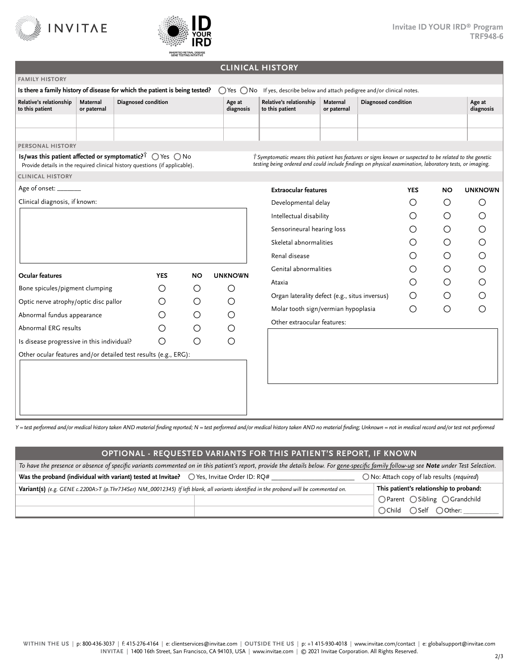



### **CLINICAL HISTORY**

| <b>FAMILY HISTORY</b>                                                       |                         |                     |            |           |                     |                                                                                                                                                                                                                   |                         |                     |            |           |                     |
|-----------------------------------------------------------------------------|-------------------------|---------------------|------------|-----------|---------------------|-------------------------------------------------------------------------------------------------------------------------------------------------------------------------------------------------------------------|-------------------------|---------------------|------------|-----------|---------------------|
| Is there a family history of disease for which the patient is being tested? |                         |                     |            |           |                     | $\bigcirc$ Yes $\bigcirc$ No If yes, describe below and attach pedigree and/or clinical notes.                                                                                                                    |                         |                     |            |           |                     |
| Relative's relationship<br>to this patient                                  | Maternal<br>or paternal | Diagnosed condition |            |           | Age at<br>diagnosis | Relative's relationship<br>to this patient                                                                                                                                                                        | Maternal<br>or paternal | Diagnosed condition |            |           | Age at<br>diagnosis |
|                                                                             |                         |                     |            |           |                     |                                                                                                                                                                                                                   |                         |                     |            |           |                     |
|                                                                             |                         |                     |            |           |                     |                                                                                                                                                                                                                   |                         |                     |            |           |                     |
| PERSONAL HISTORY                                                            |                         |                     |            |           |                     |                                                                                                                                                                                                                   |                         |                     |            |           |                     |
| Provide details in the required clinical history questions (if applicable). |                         |                     |            |           |                     | T Symptomatic means this patient has features or signs known or suspected to be related to the genetic<br>testing being ordered and could include findings on physical examination, laboratory tests, or imaging. |                         |                     |            |           |                     |
| <b>CLINICAL HISTORY</b>                                                     |                         |                     |            |           |                     |                                                                                                                                                                                                                   |                         |                     |            |           |                     |
| Age of onset: _______                                                       |                         |                     |            |           |                     | <b>Extraocular features</b>                                                                                                                                                                                       |                         |                     | <b>YES</b> | <b>NO</b> | <b>UNKNOWN</b>      |
| Clinical diagnosis, if known:                                               |                         |                     |            |           |                     | Developmental delay                                                                                                                                                                                               |                         |                     | O          | $\circ$   | O                   |
|                                                                             |                         |                     |            |           |                     | Intellectual disability                                                                                                                                                                                           |                         |                     | ∩          | $\circ$   | ◯                   |
|                                                                             |                         |                     |            |           |                     | Sensorineural hearing loss                                                                                                                                                                                        |                         |                     | Ο          | O         | O                   |
|                                                                             |                         |                     |            |           |                     | Skeletal abnormalities                                                                                                                                                                                            |                         |                     | Ω          | O         | O                   |
|                                                                             |                         |                     |            |           |                     | Renal disease                                                                                                                                                                                                     |                         |                     | Ω          | О         | О                   |
| <b>Ocular features</b>                                                      |                         |                     | <b>YES</b> | <b>NO</b> | <b>UNKNOWN</b>      | Genital abnormalities                                                                                                                                                                                             |                         |                     | Ω          | O         | O                   |
| Bone spicules/pigment clumping                                              |                         |                     | O          | O         | O                   | Ataxia                                                                                                                                                                                                            |                         |                     | O          | О         | O                   |
| Optic nerve atrophy/optic disc pallor                                       |                         |                     | O          | $\circ$   | $\circ$             | Organ laterality defect (e.g., situs inversus)                                                                                                                                                                    |                         |                     | O          | $\circ$   | ∩                   |
|                                                                             |                         |                     | Ο          | $\circ$   | $\circ$             | Molar tooth sign/vermian hypoplasia                                                                                                                                                                               |                         |                     | ∩          | O         | ∩                   |
| Abnormal fundus appearance                                                  |                         |                     |            |           |                     | Other extraocular features:                                                                                                                                                                                       |                         |                     |            |           |                     |
| Abnormal ERG results                                                        |                         |                     | Ω          | O         | $\circ$             |                                                                                                                                                                                                                   |                         |                     |            |           |                     |
| Is disease progressive in this individual?                                  |                         |                     | О          | O         | $\circ$             |                                                                                                                                                                                                                   |                         |                     |            |           |                     |
| Other ocular features and/or detailed test results (e.g., ERG):             |                         |                     |            |           |                     |                                                                                                                                                                                                                   |                         |                     |            |           |                     |
|                                                                             |                         |                     |            |           |                     |                                                                                                                                                                                                                   |                         |                     |            |           |                     |
|                                                                             |                         |                     |            |           |                     |                                                                                                                                                                                                                   |                         |                     |            |           |                     |
|                                                                             |                         |                     |            |           |                     |                                                                                                                                                                                                                   |                         |                     |            |           |                     |

*Y = test performed and/or medical history taken AND material finding reported; N = test performed and/or medical history taken AND no material finding; Unknown = not in medical record and/or test not performed*

### **OPTIONAL - REQUESTED VARIANTS FOR THIS PATIENT'S REPORT, IF KNOWN**

|                                                                                                                                        | To have the presence or absence of specific variants commented on in this patient's report, provide the details below. For gene-specific family follow-up see Note under Test Selection. |                                                     |
|----------------------------------------------------------------------------------------------------------------------------------------|------------------------------------------------------------------------------------------------------------------------------------------------------------------------------------------|-----------------------------------------------------|
| Was the proband (individual with variant) tested at Invitae? $\bigcirc$ Yes, Invitae Order ID: RO#                                     |                                                                                                                                                                                          | $\bigcap$ No: Attach copy of lab results (required) |
| Variant(s) (e.g. GENE c.2200A>T (p.Thr734Ser) NM_00012345) If left blank, all variants identified in the proband will be commented on. |                                                                                                                                                                                          | This patient's relationship to proband:             |
|                                                                                                                                        |                                                                                                                                                                                          | OParent OSibling OGrandchild                        |
|                                                                                                                                        |                                                                                                                                                                                          | ○Child ○Self ○Other:                                |